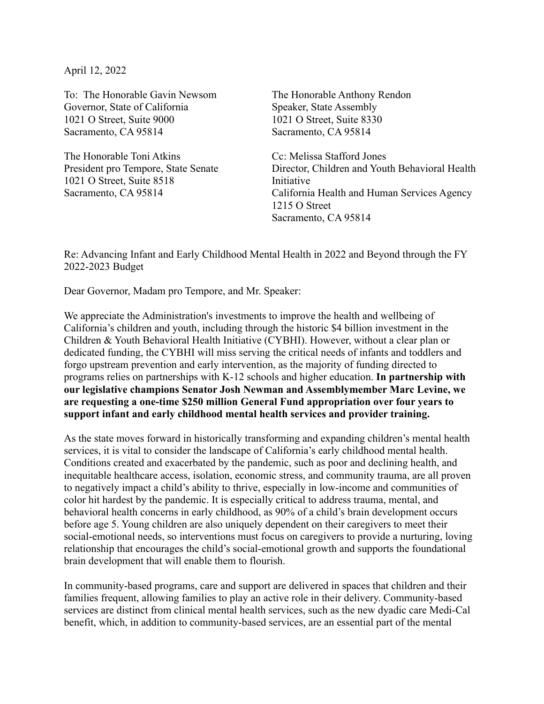April 12, 2022

To: The Honorable Gavin Newsom Governor, State of California 1021 O Street, Suite 9000 Sacramento, CA 95814

The Honorable Toni Atkins President pro Tempore, State Senate 1021 O Street, Suite 8518 Sacramento, CA 95814

The Honorable Anthony Rendon Speaker, State Assembly 1021 O Street, Suite 8330 Sacramento, CA 95814

Cc: Melissa Stafford Jones Director, Children and Youth Behavioral Health Initiative California Health and Human Services Agency 1215 O Street Sacramento, CA 95814

Re: Advancing Infant and Early Childhood Mental Health in 2022 and Beyond through the FY 2022-2023 Budget

Dear Governor, Madam pro Tempore, and Mr. Speaker:

We appreciate the Administration's investments to improve the health and wellbeing of California's children and youth, including through the historic \$4 billion investment in the Children & Youth Behavioral Health Initiative (CYBHI). However, without a clear plan or dedicated funding, the CYBHI will miss serving the critical needs of infants and toddlers and forgo upstream prevention and early intervention, as the majority of funding directed to programs relies on partnerships with K-12 schools and higher education. **In partnership with our legislative champions Senator Josh Newman and Assemblymember Marc Levine, we are requesting a one-time \$250 million General Fund appropriation over four years to support infant and early childhood mental health services and provider training.**

As the state moves forward in historically transforming and expanding children's mental health services, it is vital to consider the landscape of California's early childhood mental health. Conditions created and exacerbated by the pandemic, such as poor and declining health, and inequitable healthcare access, isolation, economic stress, and community trauma, are all proven to negatively impact a child's ability to thrive, especially in low-income and communities of color hit hardest by the pandemic. It is especially critical to address trauma, mental, and behavioral health concerns in early childhood, as 90% of a child's brain development occurs before age 5. Young children are also uniquely dependent on their caregivers to meet their social-emotional needs, so interventions must focus on caregivers to provide a nurturing, loving relationship that encourages the child's social-emotional growth and supports the foundational brain development that will enable them to flourish.

In community-based programs, care and support are delivered in spaces that children and their families frequent, allowing families to play an active role in their delivery. Community-based services are distinct from clinical mental health services, such as the new dyadic care Medi-Cal benefit, which, in addition to community-based services, are an essential part of the mental